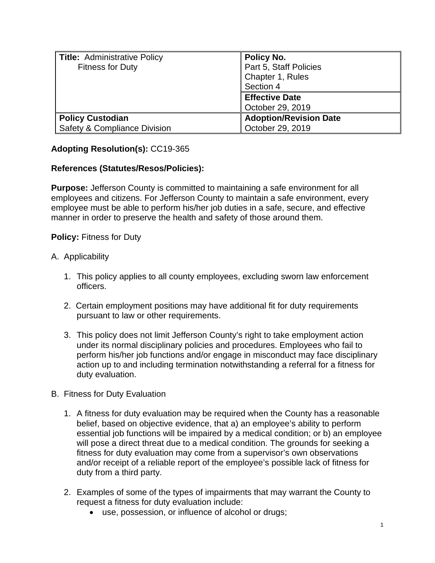| <b>Title:</b> Administrative Policy<br><b>Fitness for Duty</b> | Policy No.<br>Part 5, Staff Policies<br>Chapter 1, Rules<br>Section 4 |
|----------------------------------------------------------------|-----------------------------------------------------------------------|
|                                                                | <b>Effective Date</b><br>October 29, 2019                             |
| <b>Policy Custodian</b><br>Safety & Compliance Division        | <b>Adoption/Revision Date</b><br>October 29, 2019                     |

# **Adopting Resolution(s):** CC19-365

## **References (Statutes/Resos/Policies):**

**Purpose:** Jefferson County is committed to maintaining a safe environment for all employees and citizens. For Jefferson County to maintain a safe environment, every employee must be able to perform his/her job duties in a safe, secure, and effective manner in order to preserve the health and safety of those around them.

### **Policy:** Fitness for Duty

### A. Applicability

- 1. This policy applies to all county employees, excluding sworn law enforcement officers.
- 2. Certain employment positions may have additional fit for duty requirements pursuant to law or other requirements.
- 3. This policy does not limit Jefferson County's right to take employment action under its normal disciplinary policies and procedures. Employees who fail to perform his/her job functions and/or engage in misconduct may face disciplinary action up to and including termination notwithstanding a referral for a fitness for duty evaluation.

### B. Fitness for Duty Evaluation

- 1. A fitness for duty evaluation may be required when the County has a reasonable belief, based on objective evidence, that a) an employee's ability to perform essential job functions will be impaired by a medical condition; or b) an employee will pose a direct threat due to a medical condition. The grounds for seeking a fitness for duty evaluation may come from a supervisor's own observations and/or receipt of a reliable report of the employee's possible lack of fitness for duty from a third party.
- 2. Examples of some of the types of impairments that may warrant the County to request a fitness for duty evaluation include:
	- use, possession, or influence of alcohol or drugs;